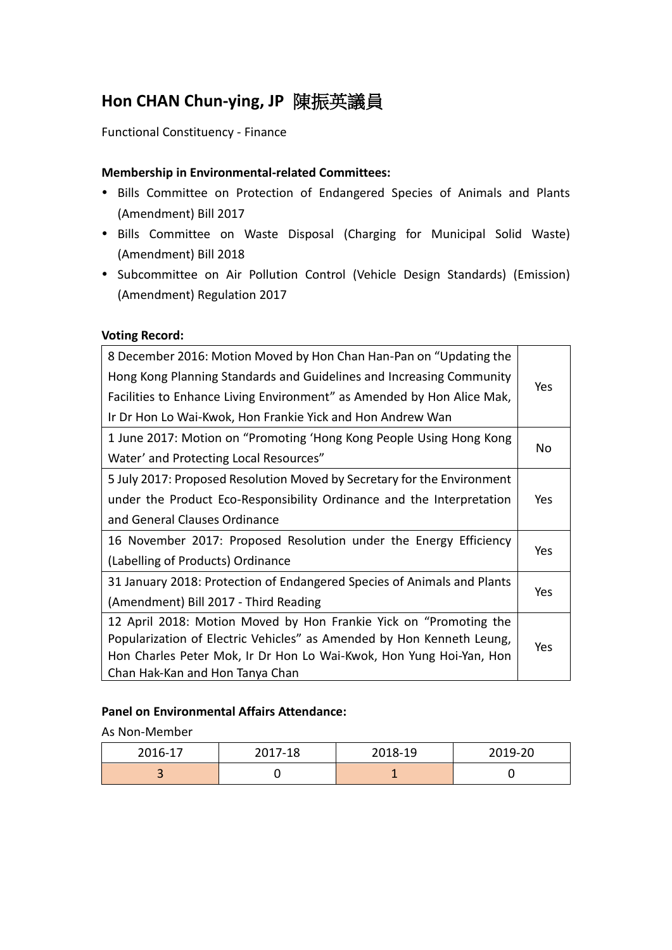# **Hon CHAN Chun-ying, JP** 陳振英議員

Functional Constituency - Finance

#### **Membership in Environmental-related Committees:**

- Bills Committee on Protection of Endangered Species of Animals and Plants (Amendment) Bill 2017
- Bills Committee on Waste Disposal (Charging for Municipal Solid Waste) (Amendment) Bill 2018
- Subcommittee on Air Pollution Control (Vehicle Design Standards) (Emission) (Amendment) Regulation 2017

#### **Voting Record:**

| 8 December 2016: Motion Moved by Hon Chan Han-Pan on "Updating the      |            |  |
|-------------------------------------------------------------------------|------------|--|
| Hong Kong Planning Standards and Guidelines and Increasing Community    | Yes        |  |
| Facilities to Enhance Living Environment" as Amended by Hon Alice Mak,  |            |  |
| Ir Dr Hon Lo Wai-Kwok, Hon Frankie Yick and Hon Andrew Wan              |            |  |
| 1 June 2017: Motion on "Promoting 'Hong Kong People Using Hong Kong     |            |  |
| Water' and Protecting Local Resources"                                  | No         |  |
| 5 July 2017: Proposed Resolution Moved by Secretary for the Environment |            |  |
| under the Product Eco-Responsibility Ordinance and the Interpretation   | Yes        |  |
| and General Clauses Ordinance                                           |            |  |
| 16 November 2017: Proposed Resolution under the Energy Efficiency       |            |  |
| (Labelling of Products) Ordinance                                       | <b>Yes</b> |  |
| 31 January 2018: Protection of Endangered Species of Animals and Plants |            |  |
| (Amendment) Bill 2017 - Third Reading                                   | Yes        |  |
| 12 April 2018: Motion Moved by Hon Frankie Yick on "Promoting the       |            |  |
| Popularization of Electric Vehicles" as Amended by Hon Kenneth Leung,   | Yes        |  |
| Hon Charles Peter Mok, Ir Dr Hon Lo Wai-Kwok, Hon Yung Hoi-Yan, Hon     |            |  |
| Chan Hak-Kan and Hon Tanya Chan                                         |            |  |

### **Panel on Environmental Affairs Attendance:**

As Non-Member

| 2016-17 | 2017-18 | 2018-19 | 2019-20 |
|---------|---------|---------|---------|
|         |         |         |         |